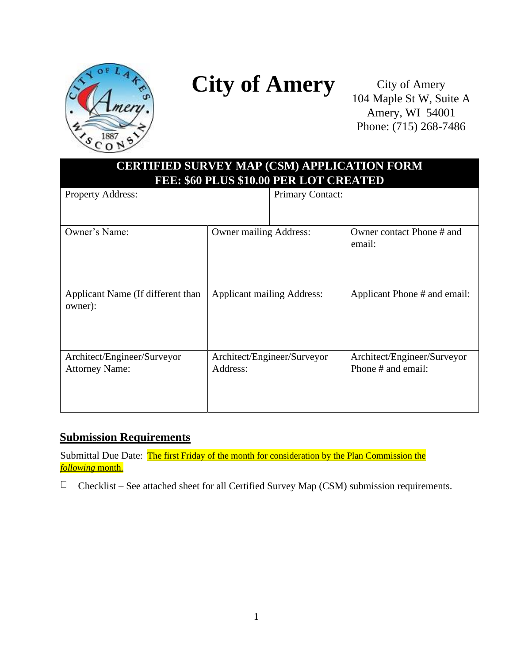

# **City of Amery**

City of Amery 104 Maple St W, Suite A Amery, WI 54001 Phone: (715) 268-7486

| <b>CERTIFIED SURVEY MAP (CSM) APPLICATION FORM</b><br>FEE: \$60 PLUS \$10.00 PER LOT CREATED |                                   |                             |                                                   |
|----------------------------------------------------------------------------------------------|-----------------------------------|-----------------------------|---------------------------------------------------|
| <b>Property Address:</b>                                                                     |                                   | <b>Primary Contact:</b>     |                                                   |
| Owner's Name:                                                                                | <b>Owner mailing Address:</b>     |                             | Owner contact Phone # and<br>email:               |
| Applicant Name (If different than<br>owner):                                                 | <b>Applicant mailing Address:</b> |                             | Applicant Phone # and email:                      |
| Architect/Engineer/Surveyor<br><b>Attorney Name:</b>                                         | Address:                          | Architect/Engineer/Surveyor | Architect/Engineer/Surveyor<br>Phone # and email: |

### **Submission Requirements**

Submittal Due Date: The first Friday of the month for consideration by the Plan Commission the *following* month.

 $\Box$ Checklist – See attached sheet for all Certified Survey Map (CSM) submission requirements.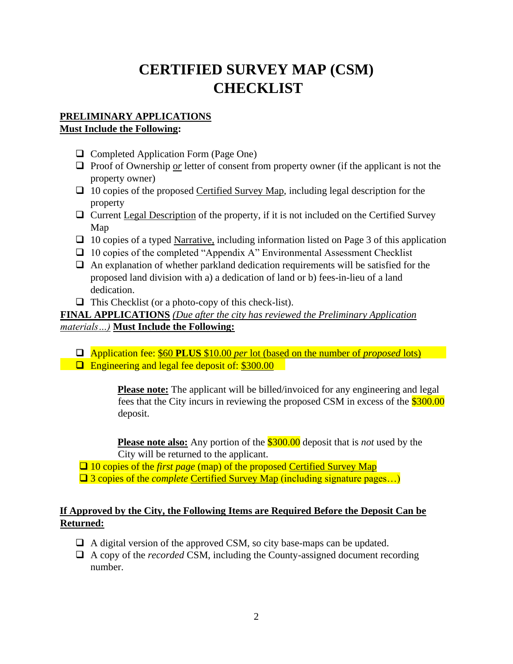## **CERTIFIED SURVEY MAP (CSM) CHECKLIST**

#### **PRELIMINARY APPLICATIONS Must Include the Following:**

- ❑ Completed Application Form (Page One)
- □ Proof of Ownership or letter of consent from property owner (if the applicant is not the property owner)
- ❑ 10 copies of the proposed Certified Survey Map, including legal description for the property
- ❑ Current Legal Description of the property, if it is not included on the Certified Survey Map
- ❑ 10 copies of a typed Narrative, including information listed on Page 3 of this application
- ❑ 10 copies of the completed "Appendix A" Environmental Assessment Checklist
- $\Box$  An explanation of whether parkland dedication requirements will be satisfied for the proposed land division with a) a dedication of land or b) fees-in-lieu of a land dedication.
- $\Box$  This Checklist (or a photo-copy of this check-list).

**FINAL APPLICATIONS** *(Due after the city has reviewed the Preliminary Application materials…)* **Must Include the Following:**

- ❑ Application fee: \$60 **PLUS** \$10.00 *per* lot (based on the number of *proposed* lots)
- □ Engineering and legal fee deposit of: \$300.00

**Please note:** The applicant will be billed/invoiced for any engineering and legal fees that the City incurs in reviewing the proposed CSM in excess of the \$300.00 deposit.

**Please note also:** Any portion of the \$300.00 deposit that is *not* used by the City will be returned to the applicant.

❑ 10 copies of the *first page* (map) of the proposed Certified Survey Map ❑ 3 copies of the *complete* Certified Survey Map (including signature pages…)

#### **If Approved by the City, the Following Items are Required Before the Deposit Can be Returned:**

- □ A digital version of the approved CSM, so city base-maps can be updated.
- ❑ A copy of the *recorded* CSM, including the County-assigned document recording number.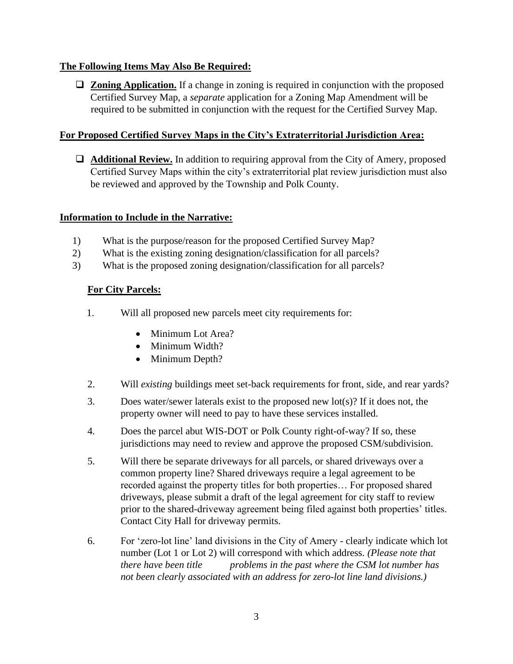#### **The Following Items May Also Be Required:**

❑ **Zoning Application.** If a change in zoning is required in conjunction with the proposed Certified Survey Map, a *separate* application for a Zoning Map Amendment will be required to be submitted in conjunction with the request for the Certified Survey Map.

#### **For Proposed Certified Survey Maps in the City's Extraterritorial Jurisdiction Area:**

❑ **Additional Review.** In addition to requiring approval from the City of Amery, proposed Certified Survey Maps within the city's extraterritorial plat review jurisdiction must also be reviewed and approved by the Township and Polk County.

#### **Information to Include in the Narrative:**

- 1) What is the purpose/reason for the proposed Certified Survey Map?
- 2) What is the existing zoning designation/classification for all parcels?
- 3) What is the proposed zoning designation/classification for all parcels?

#### **For City Parcels:**

- 1. Will all proposed new parcels meet city requirements for:
	- Minimum Lot Area?
	- Minimum Width?
	- Minimum Depth?
- 2. Will *existing* buildings meet set-back requirements for front, side, and rear yards?
- 3. Does water/sewer laterals exist to the proposed new lot(s)? If it does not, the property owner will need to pay to have these services installed.
- 4. Does the parcel abut WIS-DOT or Polk County right-of-way? If so, these jurisdictions may need to review and approve the proposed CSM/subdivision.
- 5. Will there be separate driveways for all parcels, or shared driveways over a common property line? Shared driveways require a legal agreement to be recorded against the property titles for both properties… For proposed shared driveways, please submit a draft of the legal agreement for city staff to review prior to the shared-driveway agreement being filed against both properties' titles. Contact City Hall for driveway permits.
- 6. For 'zero-lot line' land divisions in the City of Amery clearly indicate which lot number (Lot 1 or Lot 2) will correspond with which address. *(Please note that there have been title problems in the past where the CSM lot number has not been clearly associated with an address for zero-lot line land divisions.)*